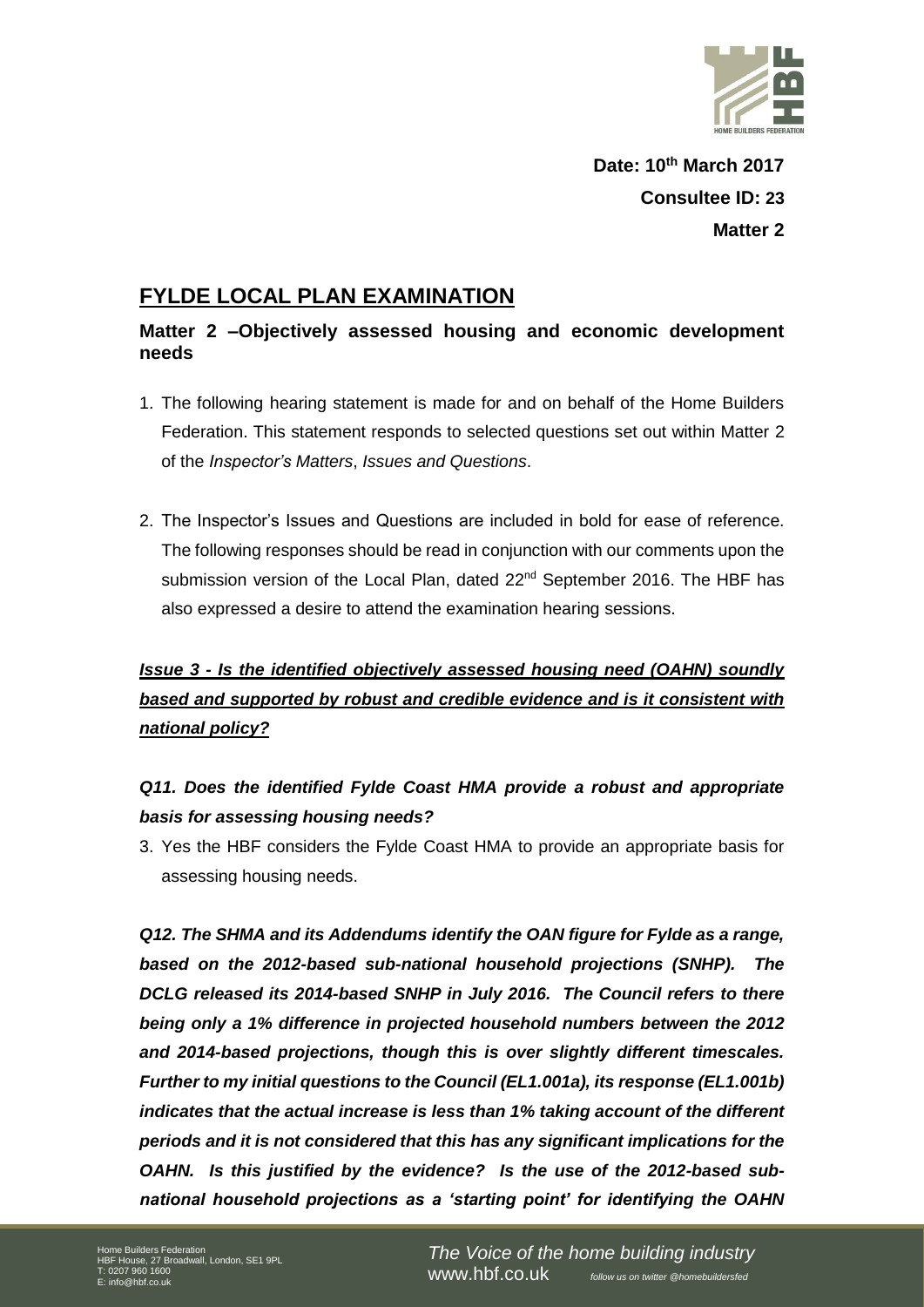

**Date: 10th March 2017 Consultee ID: 23 Matter 2**

#### **FYLDE LOCAL PLAN EXAMINATION**

#### **Matter 2 –Objectively assessed housing and economic development needs**

- 1. The following hearing statement is made for and on behalf of the Home Builders Federation. This statement responds to selected questions set out within Matter 2 of the *Inspector's Matters*, *Issues and Questions*.
- 2. The Inspector's Issues and Questions are included in bold for ease of reference. The following responses should be read in conjunction with our comments upon the submission version of the Local Plan, dated 22<sup>nd</sup> September 2016. The HBF has also expressed a desire to attend the examination hearing sessions.

# *Issue 3 - Is the identified objectively assessed housing need (OAHN) soundly based and supported by robust and credible evidence and is it consistent with national policy?*

### *Q11. Does the identified Fylde Coast HMA provide a robust and appropriate basis for assessing housing needs?*

3. Yes the HBF considers the Fylde Coast HMA to provide an appropriate basis for assessing housing needs.

*Q12. The SHMA and its Addendums identify the OAN figure for Fylde as a range, based on the 2012-based sub-national household projections (SNHP). The DCLG released its 2014-based SNHP in July 2016. The Council refers to there being only a 1% difference in projected household numbers between the 2012 and 2014-based projections, though this is over slightly different timescales. Further to my initial questions to the Council (EL1.001a), its response (EL1.001b) indicates that the actual increase is less than 1% taking account of the different periods and it is not considered that this has any significant implications for the OAHN. Is this justified by the evidence? Is the use of the 2012-based subnational household projections as a 'starting point' for identifying the OAHN*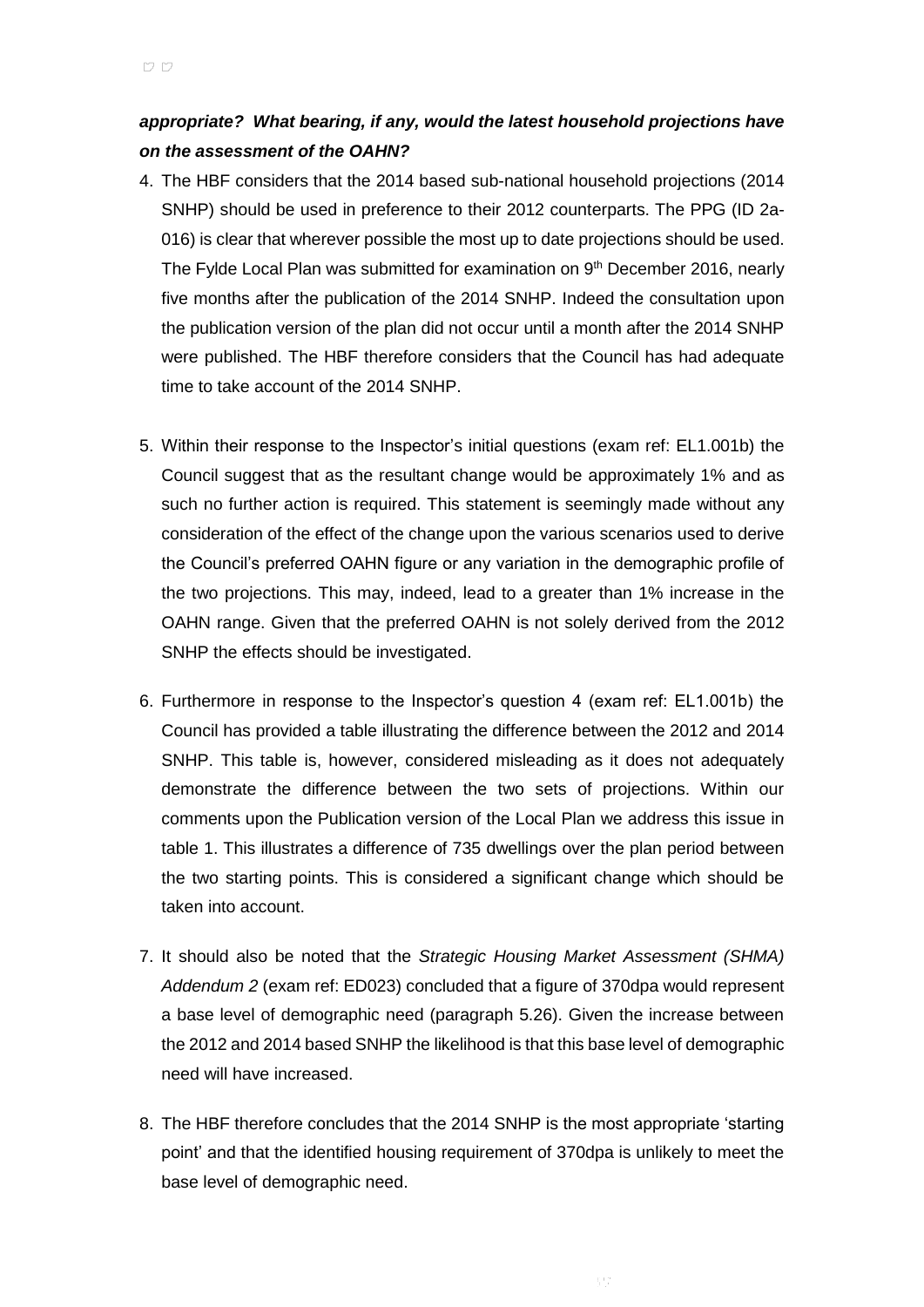#### *appropriate? What bearing, if any, would the latest household projections have on the assessment of the OAHN?*

- 4. The HBF considers that the 2014 based sub-national household projections (2014 SNHP) should be used in preference to their 2012 counterparts. The PPG (ID 2a-016) is clear that wherever possible the most up to date projections should be used. The Fylde Local Plan was submitted for examination on 9<sup>th</sup> December 2016, nearly five months after the publication of the 2014 SNHP. Indeed the consultation upon the publication version of the plan did not occur until a month after the 2014 SNHP were published. The HBF therefore considers that the Council has had adequate time to take account of the 2014 SNHP.
- 5. Within their response to the Inspector's initial questions (exam ref: EL1.001b) the Council suggest that as the resultant change would be approximately 1% and as such no further action is required. This statement is seemingly made without any consideration of the effect of the change upon the various scenarios used to derive the Council's preferred OAHN figure or any variation in the demographic profile of the two projections. This may, indeed, lead to a greater than 1% increase in the OAHN range. Given that the preferred OAHN is not solely derived from the 2012 SNHP the effects should be investigated.
- 6. Furthermore in response to the Inspector's question 4 (exam ref: EL1.001b) the Council has provided a table illustrating the difference between the 2012 and 2014 SNHP. This table is, however, considered misleading as it does not adequately demonstrate the difference between the two sets of projections. Within our comments upon the Publication version of the Local Plan we address this issue in table 1. This illustrates a difference of 735 dwellings over the plan period between the two starting points. This is considered a significant change which should be taken into account.
- 7. It should also be noted that the *Strategic Housing Market Assessment (SHMA) Addendum 2* (exam ref: ED023) concluded that a figure of 370dpa would represent a base level of demographic need (paragraph 5.26). Given the increase between the 2012 and 2014 based SNHP the likelihood is that this base level of demographic need will have increased.
- 8. The HBF therefore concludes that the 2014 SNHP is the most appropriate 'starting point' and that the identified housing requirement of 370dpa is unlikely to meet the base level of demographic need.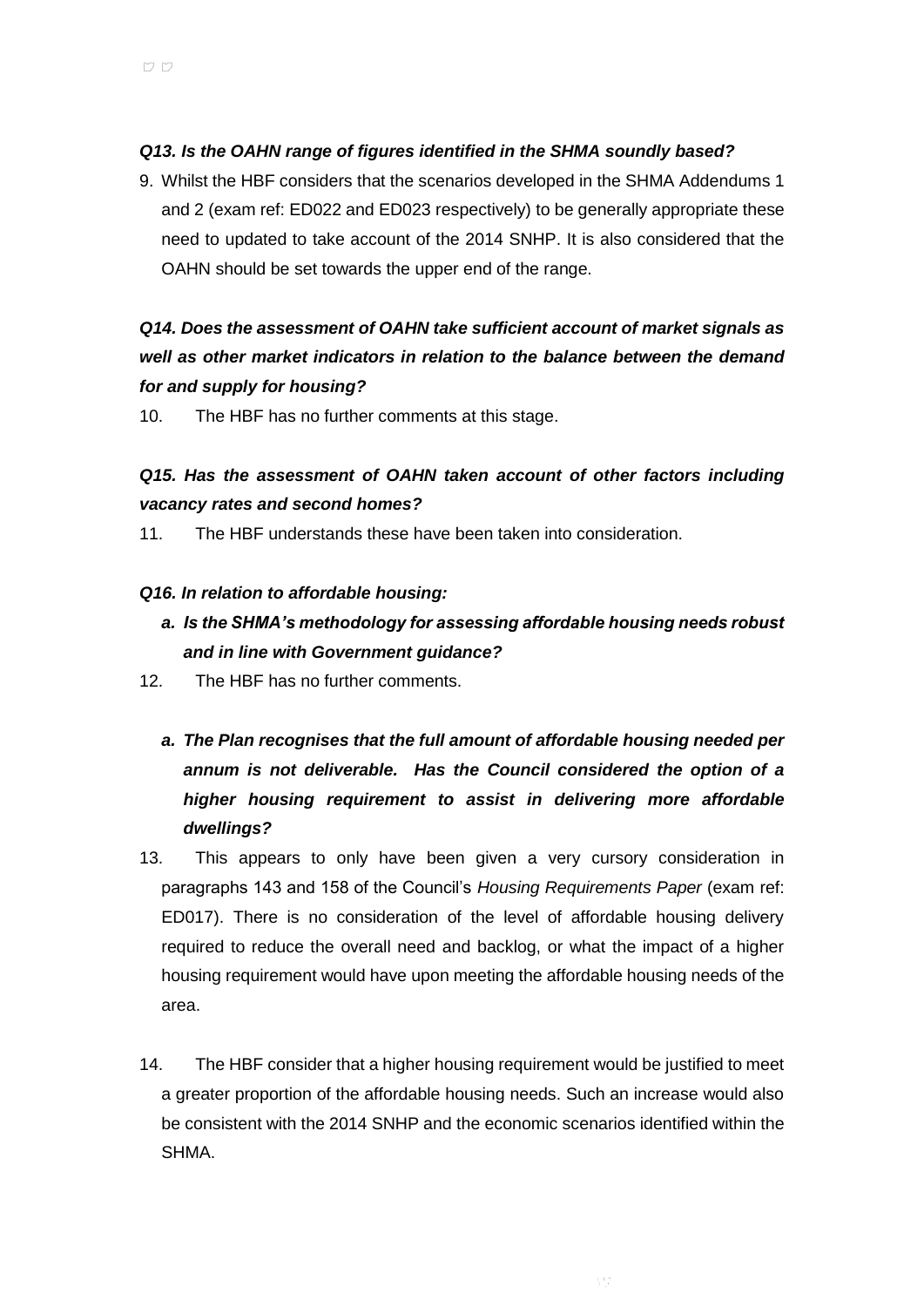#### *Q13. Is the OAHN range of figures identified in the SHMA soundly based?*

9. Whilst the HBF considers that the scenarios developed in the SHMA Addendums 1 and 2 (exam ref: ED022 and ED023 respectively) to be generally appropriate these need to updated to take account of the 2014 SNHP. It is also considered that the OAHN should be set towards the upper end of the range.

## *Q14. Does the assessment of OAHN take sufficient account of market signals as well as other market indicators in relation to the balance between the demand for and supply for housing?*

10. The HBF has no further comments at this stage.

## *Q15. Has the assessment of OAHN taken account of other factors including vacancy rates and second homes?*

11. The HBF understands these have been taken into consideration.

#### *Q16. In relation to affordable housing:*

- *a. Is the SHMA's methodology for assessing affordable housing needs robust and in line with Government guidance?*
- 12. The HBF has no further comments.
	- *a. The Plan recognises that the full amount of affordable housing needed per annum is not deliverable. Has the Council considered the option of a higher housing requirement to assist in delivering more affordable dwellings?*
- 13. This appears to only have been given a very cursory consideration in paragraphs 143 and 158 of the Council's *Housing Requirements Paper* (exam ref: ED017). There is no consideration of the level of affordable housing delivery required to reduce the overall need and backlog, or what the impact of a higher housing requirement would have upon meeting the affordable housing needs of the area.
- 14. The HBF consider that a higher housing requirement would be justified to meet a greater proportion of the affordable housing needs. Such an increase would also be consistent with the 2014 SNHP and the economic scenarios identified within the SHMA.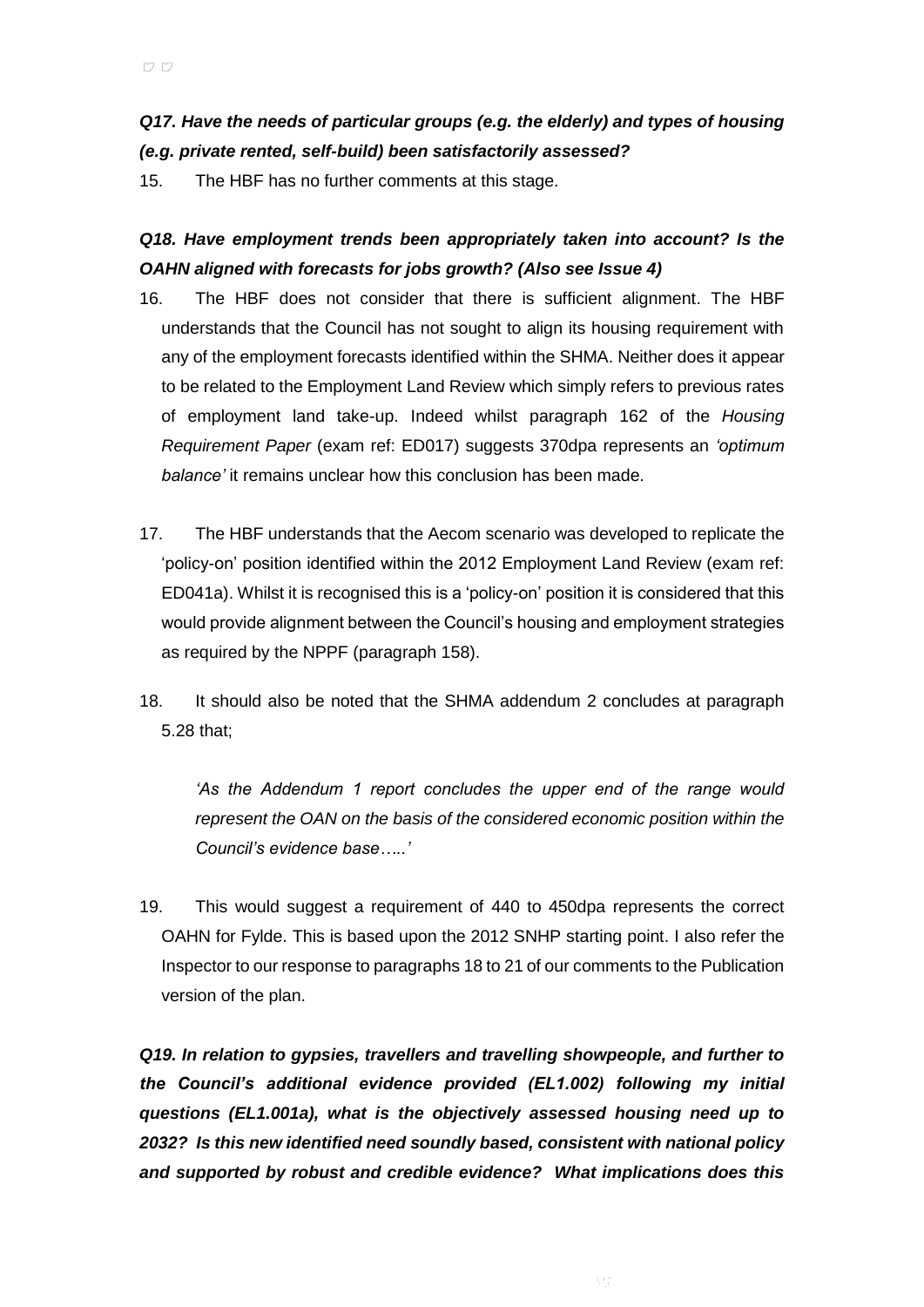### *Q17. Have the needs of particular groups (e.g. the elderly) and types of housing (e.g. private rented, self-build) been satisfactorily assessed?*

15. The HBF has no further comments at this stage.

*Q18. Have employment trends been appropriately taken into account? Is the OAHN aligned with forecasts for jobs growth? (Also see Issue 4)*

- 16. The HBF does not consider that there is sufficient alignment. The HBF understands that the Council has not sought to align its housing requirement with any of the employment forecasts identified within the SHMA. Neither does it appear to be related to the Employment Land Review which simply refers to previous rates of employment land take-up. Indeed whilst paragraph 162 of the *Housing Requirement Paper* (exam ref: ED017) suggests 370dpa represents an *'optimum balance'* it remains unclear how this conclusion has been made.
- 17. The HBF understands that the Aecom scenario was developed to replicate the 'policy-on' position identified within the 2012 Employment Land Review (exam ref: ED041a). Whilst it is recognised this is a 'policy-on' position it is considered that this would provide alignment between the Council's housing and employment strategies as required by the NPPF (paragraph 158).
- 18. It should also be noted that the SHMA addendum 2 concludes at paragraph 5.28 that;

*'As the Addendum 1 report concludes the upper end of the range would represent the OAN on the basis of the considered economic position within the Council's evidence base…..'* 

19. This would suggest a requirement of 440 to 450dpa represents the correct OAHN for Fylde. This is based upon the 2012 SNHP starting point. I also refer the Inspector to our response to paragraphs 18 to 21 of our comments to the Publication version of the plan.

*Q19. In relation to gypsies, travellers and travelling showpeople, and further to the Council's additional evidence provided (EL1.002) following my initial questions (EL1.001a), what is the objectively assessed housing need up to 2032? Is this new identified need soundly based, consistent with national policy and supported by robust and credible evidence? What implications does this*